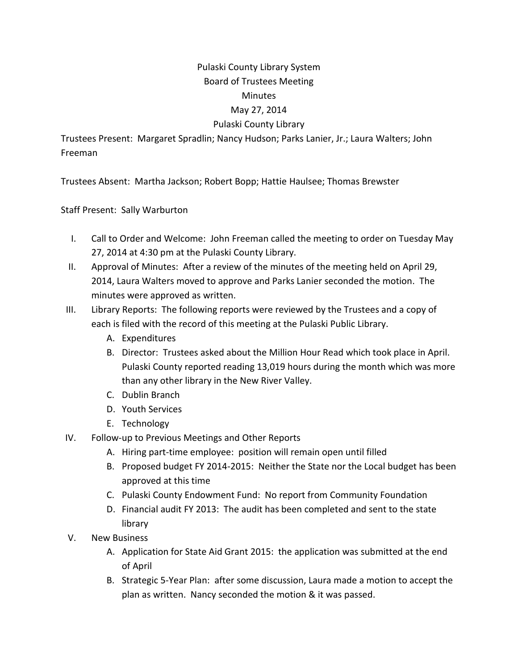## Pulaski County Library System Board of Trustees Meeting Minutes May 27, 2014

## Pulaski County Library

Trustees Present: Margaret Spradlin; Nancy Hudson; Parks Lanier, Jr.; Laura Walters; John Freeman

Trustees Absent: Martha Jackson; Robert Bopp; Hattie Haulsee; Thomas Brewster

Staff Present: Sally Warburton

- I. Call to Order and Welcome: John Freeman called the meeting to order on Tuesday May 27, 2014 at 4:30 pm at the Pulaski County Library.
- II. Approval of Minutes: After a review of the minutes of the meeting held on April 29, 2014, Laura Walters moved to approve and Parks Lanier seconded the motion. The minutes were approved as written.
- III. Library Reports: The following reports were reviewed by the Trustees and a copy of each is filed with the record of this meeting at the Pulaski Public Library.
	- A. Expenditures
	- B. Director: Trustees asked about the Million Hour Read which took place in April. Pulaski County reported reading 13,019 hours during the month which was more than any other library in the New River Valley.
	- C. Dublin Branch
	- D. Youth Services
	- E. Technology
- IV. Follow-up to Previous Meetings and Other Reports
	- A. Hiring part-time employee: position will remain open until filled
	- B. Proposed budget FY 2014-2015: Neither the State nor the Local budget has been approved at this time
	- C. Pulaski County Endowment Fund: No report from Community Foundation
	- D. Financial audit FY 2013: The audit has been completed and sent to the state library
- V. New Business
	- A. Application for State Aid Grant 2015: the application was submitted at the end of April
	- B. Strategic 5-Year Plan: after some discussion, Laura made a motion to accept the plan as written. Nancy seconded the motion & it was passed.